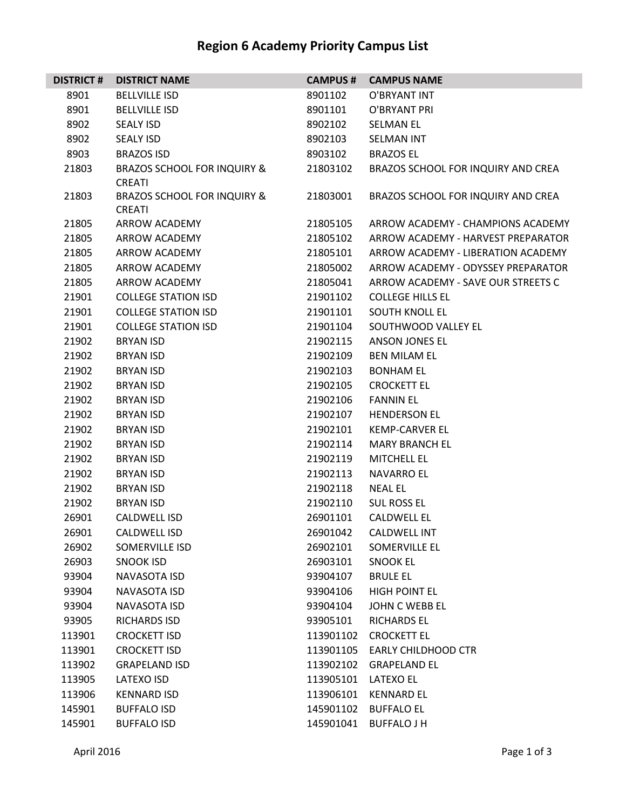## **Region 6 Academy Priority Campus List**

| <b>DISTRICT #</b> | <b>DISTRICT NAME</b>                                    | <b>CAMPUS#</b> | <b>CAMPUS NAME</b>                 |
|-------------------|---------------------------------------------------------|----------------|------------------------------------|
| 8901              | <b>BELLVILLE ISD</b>                                    | 8901102        | O'BRYANT INT                       |
| 8901              | <b>BELLVILLE ISD</b>                                    | 8901101        | O'BRYANT PRI                       |
| 8902              | <b>SEALY ISD</b>                                        | 8902102        | <b>SELMAN EL</b>                   |
| 8902              | <b>SEALY ISD</b>                                        | 8902103        | <b>SELMAN INT</b>                  |
| 8903              | <b>BRAZOS ISD</b>                                       | 8903102        | <b>BRAZOS EL</b>                   |
| 21803             | <b>BRAZOS SCHOOL FOR INQUIRY &amp;</b><br><b>CREATI</b> | 21803102       | BRAZOS SCHOOL FOR INQUIRY AND CREA |
| 21803             | <b>BRAZOS SCHOOL FOR INQUIRY &amp;</b><br><b>CREATI</b> | 21803001       | BRAZOS SCHOOL FOR INQUIRY AND CREA |
| 21805             | ARROW ACADEMY                                           | 21805105       | ARROW ACADEMY - CHAMPIONS ACADEMY  |
| 21805             | ARROW ACADEMY                                           | 21805102       | ARROW ACADEMY - HARVEST PREPARATOR |
| 21805             | ARROW ACADEMY                                           | 21805101       | ARROW ACADEMY - LIBERATION ACADEMY |
| 21805             | ARROW ACADEMY                                           | 21805002       | ARROW ACADEMY - ODYSSEY PREPARATOR |
| 21805             | ARROW ACADEMY                                           | 21805041       | ARROW ACADEMY - SAVE OUR STREETS C |
| 21901             | <b>COLLEGE STATION ISD</b>                              | 21901102       | <b>COLLEGE HILLS EL</b>            |
| 21901             | <b>COLLEGE STATION ISD</b>                              | 21901101       | SOUTH KNOLL EL                     |
| 21901             | <b>COLLEGE STATION ISD</b>                              | 21901104       | SOUTHWOOD VALLEY EL                |
| 21902             | <b>BRYAN ISD</b>                                        | 21902115       | <b>ANSON JONES EL</b>              |
| 21902             | <b>BRYAN ISD</b>                                        | 21902109       | <b>BEN MILAM EL</b>                |
| 21902             | <b>BRYAN ISD</b>                                        | 21902103       | <b>BONHAM EL</b>                   |
| 21902             | <b>BRYAN ISD</b>                                        | 21902105       | <b>CROCKETT EL</b>                 |
| 21902             | <b>BRYAN ISD</b>                                        | 21902106       | <b>FANNIN EL</b>                   |
| 21902             | <b>BRYAN ISD</b>                                        | 21902107       | <b>HENDERSON EL</b>                |
| 21902             | <b>BRYAN ISD</b>                                        | 21902101       | <b>KEMP-CARVER EL</b>              |
| 21902             | <b>BRYAN ISD</b>                                        | 21902114       | <b>MARY BRANCH EL</b>              |
| 21902             | <b>BRYAN ISD</b>                                        | 21902119       | <b>MITCHELL EL</b>                 |
| 21902             | <b>BRYAN ISD</b>                                        | 21902113       | <b>NAVARRO EL</b>                  |
| 21902             | <b>BRYAN ISD</b>                                        | 21902118       | <b>NEAL EL</b>                     |
| 21902             | <b>BRYAN ISD</b>                                        | 21902110       | <b>SUL ROSS EL</b>                 |
| 26901             | <b>CALDWELL ISD</b>                                     | 26901101       | <b>CALDWELL EL</b>                 |
| 26901             | <b>CALDWELL ISD</b>                                     | 26901042       | <b>CALDWELL INT</b>                |
| 26902             | <b>SOMERVILLE ISD</b>                                   | 26902101       | SOMERVILLE EL                      |
| 26903             | <b>SNOOK ISD</b>                                        | 26903101       | <b>SNOOK EL</b>                    |
| 93904             | NAVASOTA ISD                                            | 93904107       | <b>BRULE EL</b>                    |
| 93904             | NAVASOTA ISD                                            | 93904106       | <b>HIGH POINT EL</b>               |
| 93904             | NAVASOTA ISD                                            | 93904104       | JOHN C WEBB EL                     |
| 93905             | <b>RICHARDS ISD</b>                                     | 93905101       | <b>RICHARDS EL</b>                 |
| 113901            | <b>CROCKETT ISD</b>                                     | 113901102      | <b>CROCKETT EL</b>                 |
| 113901            | <b>CROCKETT ISD</b>                                     |                | 113901105 EARLY CHILDHOOD CTR      |
| 113902            | <b>GRAPELAND ISD</b>                                    | 113902102      | <b>GRAPELAND EL</b>                |
| 113905            | LATEXO ISD                                              | 113905101      | <b>LATEXO EL</b>                   |
| 113906            | <b>KENNARD ISD</b>                                      | 113906101      | <b>KENNARD EL</b>                  |
| 145901            | <b>BUFFALO ISD</b>                                      | 145901102      | <b>BUFFALO EL</b>                  |
| 145901            | <b>BUFFALO ISD</b>                                      | 145901041      | <b>BUFFALO J H</b>                 |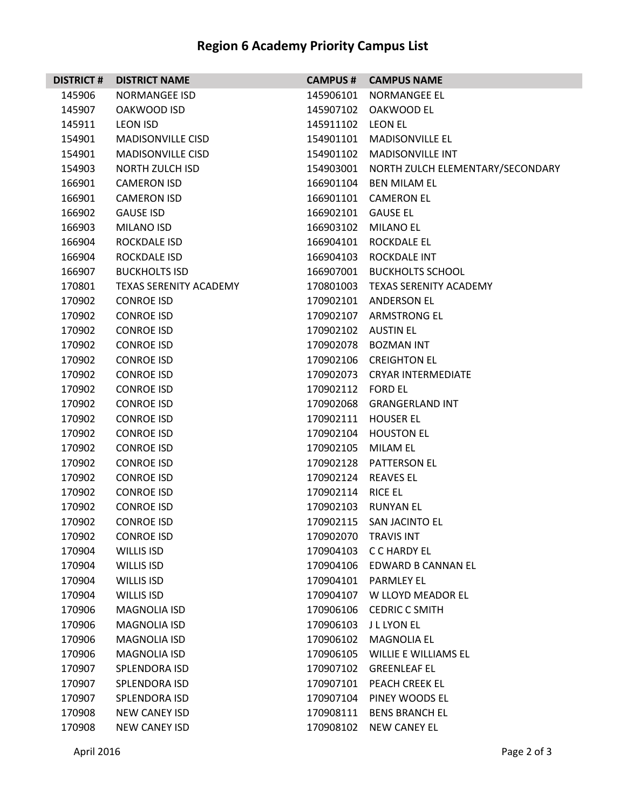## **Region 6 Academy Priority Campus List**

| <b>DISTRICT #</b> | <b>DISTRICT NAME</b>          |                     | <b>CAMPUS # CAMPUS NAME</b>                |
|-------------------|-------------------------------|---------------------|--------------------------------------------|
| 145906            | <b>NORMANGEE ISD</b>          |                     | 145906101 NORMANGEE EL                     |
| 145907            | OAKWOOD ISD                   |                     | 145907102 OAKWOOD EL                       |
| 145911            | <b>LEON ISD</b>               | 145911102 LEON EL   |                                            |
| 154901            | <b>MADISONVILLE CISD</b>      |                     | 154901101 MADISONVILLE EL                  |
| 154901            | <b>MADISONVILLE CISD</b>      |                     | 154901102 MADISONVILLE INT                 |
| 154903            | NORTH ZULCH ISD               |                     | 154903001 NORTH ZULCH ELEMENTARY/SECONDARY |
| 166901            | <b>CAMERON ISD</b>            |                     | 166901104 BEN MILAM EL                     |
| 166901            | <b>CAMERON ISD</b>            |                     | 166901101 CAMERON EL                       |
| 166902            | <b>GAUSE ISD</b>              | 166902101 GAUSE EL  |                                            |
| 166903            | <b>MILANO ISD</b>             |                     | 166903102 MILANO EL                        |
| 166904            | <b>ROCKDALE ISD</b>           |                     | 166904101 ROCKDALE EL                      |
| 166904            | <b>ROCKDALE ISD</b>           | 166904103           | ROCKDALE INT                               |
| 166907            | <b>BUCKHOLTS ISD</b>          |                     | 166907001 BUCKHOLTS SCHOOL                 |
| 170801            | <b>TEXAS SERENITY ACADEMY</b> |                     | 170801003 TEXAS SERENITY ACADEMY           |
| 170902            | <b>CONROE ISD</b>             |                     | 170902101 ANDERSON EL                      |
| 170902            | <b>CONROE ISD</b>             |                     | 170902107 ARMSTRONG EL                     |
| 170902            | <b>CONROE ISD</b>             | 170902102 AUSTIN EL |                                            |
| 170902            | <b>CONROE ISD</b>             |                     | 170902078 BOZMAN INT                       |
| 170902            | <b>CONROE ISD</b>             |                     | 170902106 CREIGHTON EL                     |
| 170902            | <b>CONROE ISD</b>             |                     | 170902073 CRYAR INTERMEDIATE               |
| 170902            | <b>CONROE ISD</b>             | 170902112 FORD EL   |                                            |
| 170902            | <b>CONROE ISD</b>             |                     | 170902068 GRANGERLAND INT                  |
| 170902            | <b>CONROE ISD</b>             |                     | 170902111 HOUSER EL                        |
| 170902            | <b>CONROE ISD</b>             |                     | 170902104 HOUSTON EL                       |
| 170902            | <b>CONROE ISD</b>             | 170902105 MILAM EL  |                                            |
| 170902            | <b>CONROE ISD</b>             |                     | 170902128 PATTERSON EL                     |
| 170902            | <b>CONROE ISD</b>             | 170902124 REAVES EL |                                            |
| 170902            | <b>CONROE ISD</b>             | 170902114 RICE EL   |                                            |
| 170902            | <b>CONROE ISD</b>             |                     | 170902103 RUNYAN EL                        |
| 170902            | <b>CONROE ISD</b>             |                     | 170902115 SAN JACINTO EL                   |
| 170902            | <b>CONROE ISD</b>             | 170902070           | <b>TRAVIS INT</b>                          |
| 170904            | WILLIS ISD                    | 170904103           | C C HARDY EL                               |
| 170904            | WILLIS ISD                    |                     | 170904106 EDWARD B CANNAN EL               |
| 170904            | WILLIS ISD                    |                     | 170904101 PARMLEY EL                       |
| 170904            | <b>WILLIS ISD</b>             | 170904107           | W LLOYD MEADOR EL                          |
| 170906            | <b>MAGNOLIA ISD</b>           | 170906106           | <b>CEDRIC C SMITH</b>                      |
| 170906            | <b>MAGNOLIA ISD</b>           | 170906103           | J L LYON EL                                |
| 170906            | <b>MAGNOLIA ISD</b>           | 170906102           | <b>MAGNOLIA EL</b>                         |
| 170906            | <b>MAGNOLIA ISD</b>           | 170906105           | <b>WILLIE E WILLIAMS EL</b>                |
| 170907            | SPLENDORA ISD                 | 170907102           | <b>GREENLEAF EL</b>                        |
| 170907            | SPLENDORA ISD                 | 170907101           | PEACH CREEK EL                             |
| 170907            | <b>SPLENDORA ISD</b>          | 170907104           | PINEY WOODS EL                             |
| 170908            | NEW CANEY ISD                 | 170908111           | <b>BENS BRANCH EL</b>                      |
| 170908            | <b>NEW CANEY ISD</b>          | 170908102           | <b>NEW CANEY EL</b>                        |